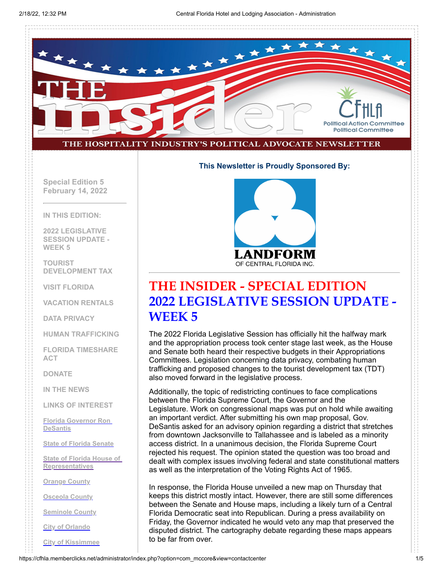

#### **This Newsletter is Proudly Sponsored By:**

**Special Edition 5 February 14, 2022**

**IN THIS EDITION:**

**2022 LEGISLATIVE SESSION UPDATE - WEEK 5**

**TOURIST DEVELOPMENT TAX**

**VISIT FLORIDA**

**VACATION RENTALS**

**DATA PRIVACY**

**HUMAN TRAFFICKING**

**FLORIDA TIMESHARE ACT**

**DONATE**

**IN THE NEWS**

**LINKS OF INTEREST**

**[Florida Governor Ron](http://www.flgov.com/) DeSantis**

**[State of Florida Senate](http://www.flsenate.gov/)**

**[State of Florida House of](http://www.myfloridahouse.gov/) Representatives**

**[Orange County](http://www.orangecountyfl.net/)**

**[Osceola County](http://www.osceola.org/)**

**[Seminole County](http://www.seminolecountyfl.gov/)**

**[City of Orlando](http://www.cityoforlando.net/)**

**[City of Kissimmee](http://www.kissimmee.org/)**



### **THE INSIDER - SPECIAL EDITION 2022 LEGISLATIVE SESSION UPDATE - WEEK 5**

The 2022 Florida Legislative Session has officially hit the halfway mark and the appropriation process took center stage last week, as the House and Senate both heard their respective budgets in their Appropriations Committees. Legislation concerning data privacy, combating human trafficking and proposed changes to the tourist development tax (TDT) also moved forward in the legislative process.

Additionally, the topic of redistricting continues to face complications between the Florida Supreme Court, the Governor and the Legislature. Work on congressional maps was put on hold while awaiting an important verdict. After submitting his own map proposal, Gov. DeSantis asked for an advisory opinion regarding a district that stretches from downtown Jacksonville to Tallahassee and is labeled as a minority access district. In a unanimous decision, the Florida Supreme Court rejected his request. The opinion stated the question was too broad and dealt with complex issues involving federal and state constitutional matters as well as the interpretation of the Voting Rights Act of 1965.

In response, the Florida House unveiled a new map on Thursday that keeps this district mostly intact. However, there are still some differences between the Senate and House maps, including a likely turn of a Central Florida Democratic seat into Republican. During a press availability on Friday, the Governor indicated he would veto any map that preserved the disputed district. The cartography debate regarding these maps appears to be far from over.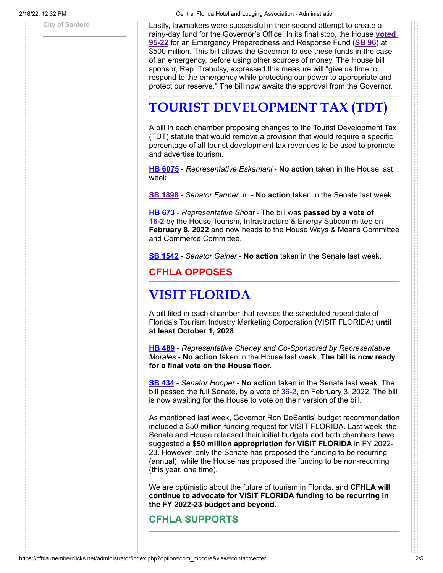2/18/22, 12:32 PM Central Florida Hotel and Lodging Association - Administration

**[City of Sanford](http://www.sanfordfl.gov/)** Lastly, lawmakers were successful in their second attempt to create a [rainy-day fund for the Governor's Office. In its final stop, the House](https://www.myfloridahouse.gov/Sections/Bills/floorvote.aspx?VoteId=20859&BillId=75814&SessionId=93&) **voted 95-22** for an Emergency Preparedness and Response Fund (**[SB 96](https://www.myfloridahouse.gov/Sections/Bills/billsdetail.aspx?BillId=75814&SessionId=93)**) at \$500 million. This bill allows the Governor to use these funds in the case of an emergency, before using other sources of money. The House bill sponsor, Rep. Trabulsy, expressed this measure will "give us time to respond to the emergency while protecting our power to appropriate and protect our reserve." The bill now awaits the approval from the Governor.

## **TOURIST DEVELOPMENT TAX (TDT)**

A bill in each chamber proposing changes to the Tourist Development Tax (TDT) statute that would remove a provision that would require a specific percentage of all tourist development tax revenues to be used to promote and advertise tourism.

**[HB 6075](https://www.myfloridahouse.gov/Sections/Bills/billsdetail.aspx?BillId=73902&SessionId=93)** - *Representative Eskamani* - **No action** taken in the House last week.

**[SB 1898](https://www.myfloridahouse.gov/Sections/Bills/billsdetail.aspx?BillId=76420&SessionId=93)** - *Senator Farmer Jr*. - **No action** taken in the Senate last week.

**[HB 673](https://www.myfloridahouse.gov/Sections/Bills/billsdetail.aspx?BillId=74794&SessionId=93)** - *Representative Shoaf* - The bill was **passed by a vote of [16-2](https://www.myfloridahouse.gov/Sections/Committees/billvote.aspx?VoteId=64616&IsPCB=1&BillId=74794&SessionId=93)** by the House Tourism, Infrastructure & Energy Subcommittee on **February 8, 2022** and now heads to the House Ways & Means Committee and Commerce Committee.

**[SB 1542](https://flsenate.gov/Session/Bill/2022/1542)** - *Senator Gainer* - **No action** taken in the Senate last week.

**CFHLA OPPOSES**

## **VISIT FLORIDA**

A bill filed in each chamber that revises the scheduled repeal date of Florida's Tourism Industry Marketing Corporation (VISIT FLORIDA) **until at least October 1, 2028**.

**[HB 489](https://www.myfloridahouse.gov/Sections/Bills/billsdetail.aspx?BillId=73966&SessionId=93)** - *Representative Cheney and Co-Sponsored by Representative Morales* - **No action** taken in the House last week. **The bill is now ready for a final vote on the House floor.**

**[SB 434](https://www.myfloridahouse.gov/Sections/Bills/billsdetail.aspx?BillId=73406&SessionId=93)** - *Senator Hooper* - **No action** taken in the Senate last week. The bill passed the full Senate, by a vote of [36-2](https://www.myfloridahouse.gov/Sections/Bills/floorvote.aspx?VoteId=20837&BillId=73406&SessionId=93&)**,** on February 3, 2022. The bill is now awaiting for the House to vote on their version of the bill.

As mentioned last week, Governor Ron DeSantis' budget recommendation included a \$50 million funding request for VISIT FLORIDA. Last week, the Senate and House released their initial budgets and both chambers have suggested a **\$50 million appropriation for VISIT FLORIDA** in FY 2022- 23. However, only the Senate has proposed the funding to be recurring (annual), while the House has proposed the funding to be non-recurring (this year, one time).

We are optimistic about the future of tourism in Florida, and **CFHLA will continue to advocate for VISIT FLORIDA funding to be recurring in the FY 2022-23 budget and beyond.**

#### **CFHLA SUPPORTS**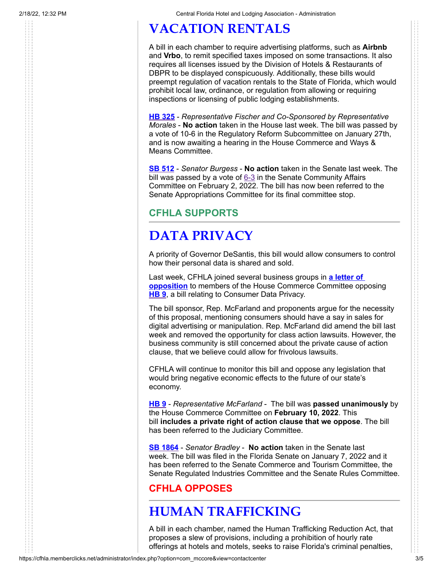# **VACATION RENTALS**

A bill in each chamber to require advertising platforms, such as **Airbnb** and **Vrbo**, to remit specified taxes imposed on some transactions. It also requires all licenses issued by the Division of Hotels & Restaurants of DBPR to be displayed conspicuously. Additionally, these bills would preempt regulation of vacation rentals to the State of Florida, which would prohibit local law, ordinance, or regulation from allowing or requiring inspections or licensing of public lodging establishments.

**HB [325](https://www.myfloridahouse.gov/Sections/Bills/billsdetail.aspx?BillId=73530&SessionId=93)** - *Representative Fischer and Co-Sponsored by Representative Morales* - **No action** taken in the House last week. The bill was passed by a vote of 10-6 in the Regulatory Reform Subcommittee on January 27th, and is now awaiting a hearing in the House Commerce and Ways & Means Committee.

**[SB 512](https://www.myfloridahouse.gov/Sections/Bills/billsdetail.aspx?BillId=73519&SessionId=93)** - *Senator Burgess* - **No action** taken in the Senate last week. The bill was passed by a vote of  $6-3$  in the Senate Community Affairs Committee on February 2, 2022. The bill has now been referred to the Senate Appropriations Committee for its final committee stop.

#### **CFHLA SUPPORTS**

# **DATA PRIVACY**

A priority of Governor DeSantis, this bill would allow consumers to control how their personal data is shared and sold.

[Last week, CFHLA joined several business groups in](https://cfhla.memberclicks.net/assets/TheInsider/2022/2.9.22%20Business%20Groups%20Opposition%20to%20HB%209.pdf) **a letter of opposition** to members of the House Commerce Committee opposing **[HB 9](https://www.myfloridahouse.gov/Sections/Bills/billsdetail.aspx?BillId=76556&SessionId=93)**, a bill relating to Consumer Data Privacy.

The bill sponsor, Rep. McFarland and proponents argue for the necessity of this proposal, mentioning consumers should have a say in sales for digital advertising or manipulation. Rep. McFarland did amend the bill last week and removed the opportunity for class action lawsuits. However, the business community is still concerned about the private cause of action clause, that we believe could allow for frivolous lawsuits.

CFHLA will continue to monitor this bill and oppose any legislation that would bring negative economic effects to the future of our state's economy.

**[HB 9](https://www.myfloridahouse.gov/Sections/Bills/billsdetail.aspx?BillId=76556&SessionId=93)** - *Representative McFarland* - The bill was **passed unanimously** by the House Commerce Committee on **February 10, 2022**. This bill **includes a private right of action clause that we oppose**. The bill has been referred to the Judiciary Committee.

**[SB 1864](https://flsenate.gov/Session/Bill/2022/1864)** - *Senator Bradley* - **No action** taken in the Senate last week. The bill was filed in the Florida Senate on January 7, 2022 and it has been referred to the Senate Commerce and Tourism Committee, the Senate Regulated Industries Committee and the Senate Rules Committee.

#### **CFHLA OPPOSES**

## **HUMAN TRAFFICKING**

A bill in each chamber, named the Human Trafficking Reduction Act, that proposes a slew of provisions, including a prohibition of hourly rate offerings at hotels and motels, seeks to raise Florida's criminal penalties,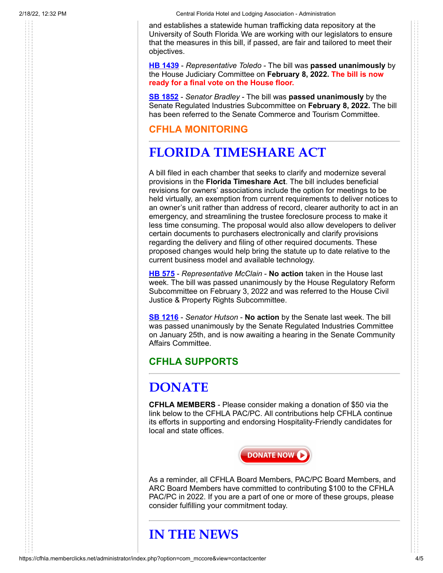2/18/22, 12:32 PM Central Florida Hotel and Lodging Association - Administration

and establishes a statewide human trafficking data repository at the University of South Florida. We are working with our legislators to ensure that the measures in this bill, if passed, are fair and tailored to meet their objectives.

**[HB 1439](https://www.myfloridahouse.gov/Sections/Bills/billsdetail.aspx?BillId=76458)** - *Representative Toledo* - The bill was **passed unanimously** by the House Judiciary Committee on **February 8, 2022. The bill is now ready for a final vote on the House floor.**

**[SB 1852](https://flsenate.gov/Session/Bill/2022/1852)** - *Senator Bradley* - The bill was **passed unanimously** by the Senate Regulated Industries Subcommittee on **February 8, 2022.** The bill has been referred to the Senate Commerce and Tourism Committee.

**CFHLA MONITORING**

# **FLORIDA TIMESHARE ACT**

A bill filed in each chamber that seeks to clarify and modernize several provisions in the **Florida Timeshare Act**. The bill includes beneficial revisions for owners' associations include the option for meetings to be held virtually, an exemption from current requirements to deliver notices to an owner's unit rather than address of record, clearer authority to act in an emergency, and streamlining the trustee foreclosure process to make it less time consuming. The proposal would also allow developers to deliver certain documents to purchasers electronically and clarify provisions regarding the delivery and filing of other required documents. These proposed changes would help bring the statute up to date relative to the current business model and available technology.

**[HB 575](https://www.myfloridahouse.gov/Sections/Bills/billsdetail.aspx?BillId=74164&SessionId=93)** - *Representative McClain* - **No action** taken in the House last week. The bill was passed unanimously by the House Regulatory Reform Subcommittee on February 3, 2022 and was referred to the House Civil Justice & Property Rights Subcommittee.

**[SB 1216](https://www.myfloridahouse.gov/Sections/Bills/billsdetail.aspx?BillId=75609&SessionId=93)** - *Senator Hutson* - **No action** by the Senate last week. The bill was passed unanimously by the Senate Regulated Industries Committee on January 25th, and is now awaiting a hearing in the Senate Community Affairs Committee.

### **CFHLA SUPPORTS**

## **DONATE**

**CFHLA MEMBERS** - Please consider making a donation of \$50 via the link below to the CFHLA PAC/PC. All contributions help CFHLA continue its efforts in supporting and endorsing Hospitality-Friendly candidates for local and state offices.



As a reminder, all CFHLA Board Members, PAC/PC Board Members, and ARC Board Members have committed to contributing \$100 to the CFHLA PAC/PC in 2022. If you are a part of one or more of these groups, please consider fulfilling your commitment today.

## **IN THE NEWS**